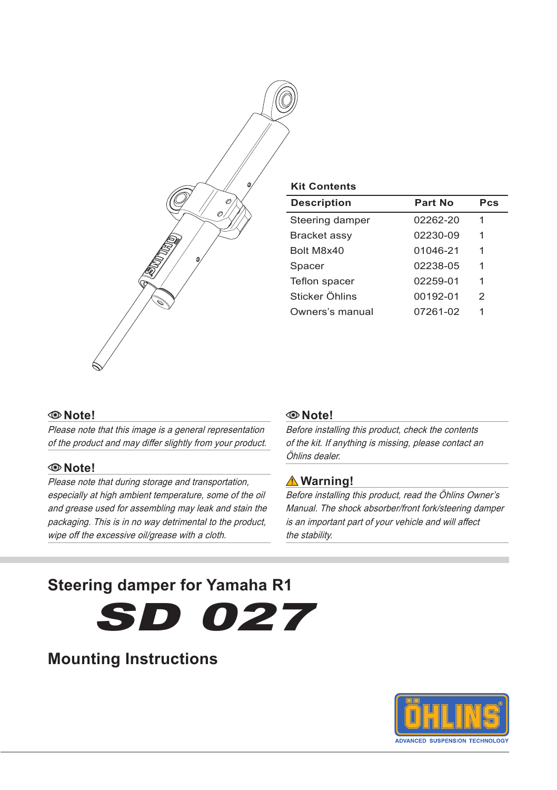

#### **Kit Contents**

| <b>Description</b> | Part No  | Pcs |
|--------------------|----------|-----|
| Steering damper    | 02262-20 | 1   |
| Bracket assy       | 02230-09 | 1   |
| Bolt M8x40         | 01046-21 | 1   |
| Spacer             | 02238-05 | 1   |
| Teflon spacer      | 02259-01 | 1   |
| Sticker Öhlins     | 00192-01 | 2   |
| Owners's manual    | 07261-02 | 1   |

#### **Note!**

Please note that this image is a general representation of the product and may differ slightly from your product.

#### **Note!**

Please note that during storage and transportation, especially at high ambient temperature, some of the oil and grease used for assembling may leak and stain the packaging. This is in no way detrimental to the product, wipe off the excessive oil/grease with a cloth.

#### **Note!**

Before installing this product, check the contents of the kit. If anything is missing, please contact an Öhlins dealer.

### **Warning!**

Before installing this product, read the Öhlins Owner's Manual. The shock absorber/front fork/steering damper is an important part of your vehicle and will affect the stability.

# **Steering damper for Yamaha R1**

SD 027

# **Mounting Instructions**

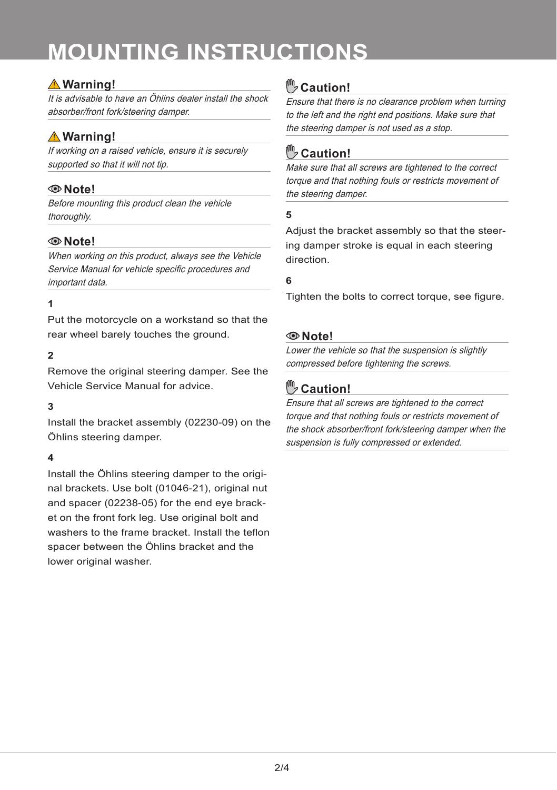# **mounting instructions**

## **Warning!**

It is advisable to have an Öhlins dealer install the shock absorber/front fork/steering damper.

# **Warning!**

If working on a raised vehicle, ensure it is securely supported so that it will not tip.

## **Note!**

Before mounting this product clean the vehicle thoroughly.

## **Note!**

When working on this product, always see the Vehicle Service Manual for vehicle specific procedures and important data.

### **1**

Put the motorcycle on a workstand so that the rear wheel barely touches the ground.

#### **2**

Remove the original steering damper. See the Vehicle Service Manual for advice.

#### **3**

Install the bracket assembly (02230-09) on the Öhlins steering damper.

### **4**

Install the Öhlins steering damper to the original brackets. Use bolt (01046-21), original nut and spacer (02238-05) for the end eye bracket on the front fork leg. Use original bolt and washers to the frame bracket. Install the teflon spacer between the Öhlins bracket and the lower original washer.

# **Caution!**

Ensure that there is no clearance problem when turning to the left and the right end positions. Make sure that the steering damper is not used as a stop.

# **Caution!**

Make sure that all screws are tightened to the correct torque and that nothing fouls or restricts movement of the steering damper.

#### **5**

Adjust the bracket assembly so that the steering damper stroke is equal in each steering direction.

#### **6**

Tighten the bolts to correct torque, see figure.

## **Note!**

Lower the vehicle so that the suspension is slightly compressed before tightening the screws.

# **Caution!**

Ensure that all screws are tightened to the correct torque and that nothing fouls or restricts movement of the shock absorber/front fork/steering damper when the suspension is fully compressed or extended.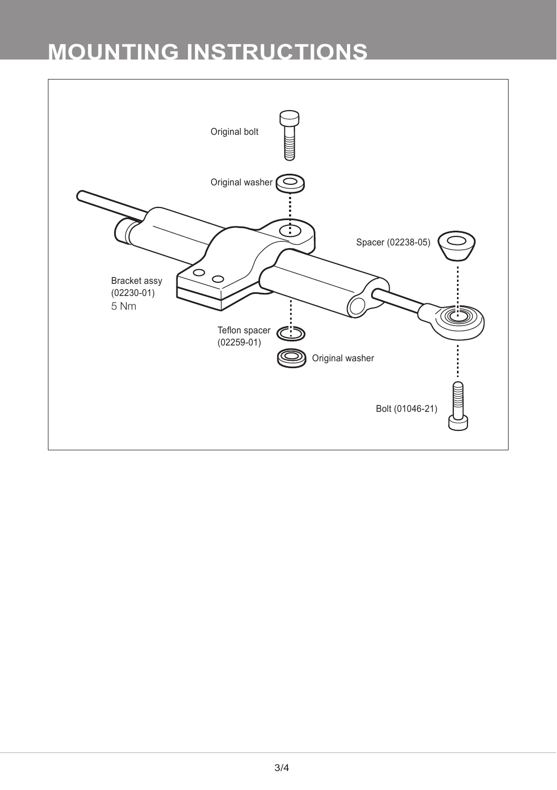# **mounting instructions**